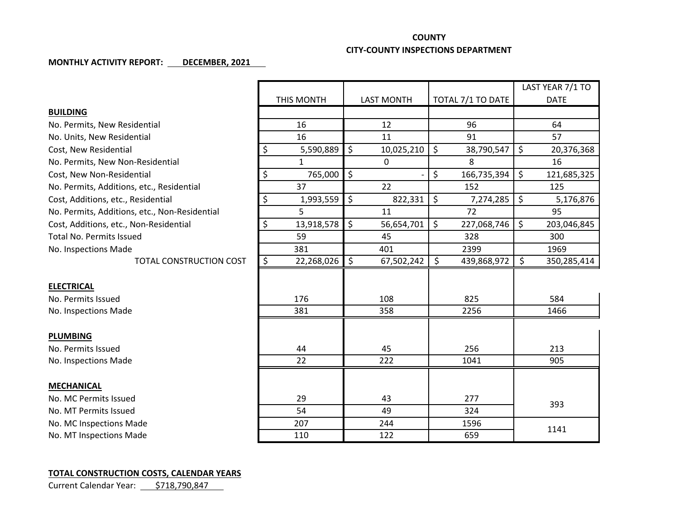## **COUNTY**

## **CITY-COUNTY INSPECTIONS DEPARTMENT**

## **MONTHLY ACTIVITY REPORT: DECEMBER, 2021**

|                                               |                  |                   |                   | LAST YEAR 7/1 TO  |
|-----------------------------------------------|------------------|-------------------|-------------------|-------------------|
|                                               | THIS MONTH       | <b>LAST MONTH</b> | TOTAL 7/1 TO DATE | <b>DATE</b>       |
| <b>BUILDING</b>                               |                  |                   |                   |                   |
| No. Permits, New Residential                  | 16               | 12                | 96                | 64                |
| No. Units, New Residential                    | 16               | 11                | 91                | 57                |
| Cost, New Residential                         | \$<br>5,590,889  | \$<br>10,025,210  | \$<br>38,790,547  | \$<br>20,376,368  |
| No. Permits, New Non-Residential              | $\mathbf{1}$     | $\Omega$          | 8                 | 16                |
| Cost, New Non-Residential                     | \$<br>765,000    | \$                | \$<br>166,735,394 | \$<br>121,685,325 |
| No. Permits, Additions, etc., Residential     | 37               | 22                | 152               | 125               |
| Cost, Additions, etc., Residential            | \$<br>1,993,559  | \$<br>822,331     | \$<br>7,274,285   | \$<br>5,176,876   |
| No. Permits, Additions, etc., Non-Residential | 5                | 11                | 72                | 95                |
| Cost, Additions, etc., Non-Residential        | \$<br>13,918,578 | \$<br>56,654,701  | \$<br>227,068,746 | \$<br>203,046,845 |
| <b>Total No. Permits Issued</b>               | 59               | 45                | 328               | 300               |
| No. Inspections Made                          | 381              | 401               | 2399              | 1969              |
| TOTAL CONSTRUCTION COST                       | \$<br>22,268,026 | \$<br>67,502,242  | \$<br>439,868,972 | \$<br>350,285,414 |
|                                               |                  |                   |                   |                   |
| <b>ELECTRICAL</b>                             |                  |                   |                   |                   |
| No. Permits Issued                            | 176              | 108               | 825               | 584               |
| No. Inspections Made                          | 381              | 358               | 2256              | 1466              |
|                                               |                  |                   |                   |                   |
| <b>PLUMBING</b>                               |                  |                   |                   |                   |
| No. Permits Issued                            | 44               | 45                | 256               | 213               |
| No. Inspections Made                          | 22               | 222               | 1041              | 905               |
|                                               |                  |                   |                   |                   |
| <b>MECHANICAL</b>                             |                  |                   |                   |                   |
| No. MC Permits Issued                         | 29               | 43                | 277               | 393               |
| No. MT Permits Issued                         | 54               | 49                | 324               |                   |
| No. MC Inspections Made                       | 207              | 244               | 1596              | 1141              |
| No. MT Inspections Made                       | 110              | 122               | 659               |                   |

## **TOTAL CONSTRUCTION COSTS, CALENDAR YEARS**

Current Calendar Year: \$718,790,847